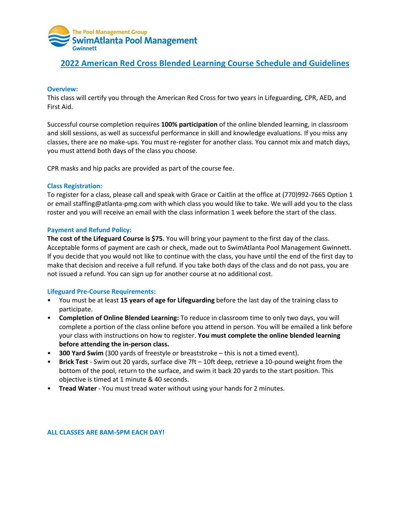

# **2022 American Red Cross Blended Learning Course Schedule and Guidelines**

#### **Overview:**

This class will certify you through the American Red Cross for two years in Lifeguarding, CPR, AED, and First Aid.

Successful course completion requires **100% participation** of the online blended learning, in classroom and skill sessions, as well as successful performance in skill and knowledge evaluations. If you miss any classes, there are no make-ups. You must re-register for another class. You cannot mix and match days, you must attend both days of the class you choose.

CPR masks and hip packs are provided as part of the course fee.

### **Class Registration:**

To register for a class, please call and speak with Grace or Caitlin at the office at (770)992-7665 Option 1 or email staffing@atlanta-pmg.com with which class you would like to take. We will add you to the class roster and you will receive an email with the class information 1 week before the start of the class.

### **Payment and Refund Policy:**

**The cost of the Lifeguard Course is \$75.** You will bring your payment to the first day of the class. Acceptable forms of payment are cash or check, made out to SwimAtlanta Pool Management Gwinnett. If you decide that you would not like to continue with the class, you have until the end of the first day to make that decision and receive a full refund. If you take both days of the class and do not pass, you are not issued a refund. You can sign up for another course at no additional cost.

## **Lifeguard Pre-Course Requirements:**

- You must be at least **15 years of age for Lifeguarding** before the last day of the training class to participate.
- **Completion of Online Blended Learning:** To reduce in classroom time to only two days, you will complete a portion of the class online before you attend in person. You will be emailed a link before your class with instructions on how to register. **You must complete the online blended learning before attending the in-person class.**
- **300 Yard Swim** (300 yards of freestyle or breaststroke this is not a timed event).
- **Brick Test**  Swim out 20 yards, surface dive 7ft 10ft deep, retrieve a 10-pound weight from the bottom of the pool, return to the surface, and swim it back 20 yards to the start position. This objective is timed at 1 minute & 40 seconds.
- **Tread Water**  You must tread water without using your hands for 2 minutes.

#### **ALL CLASSES ARE 8AM-5PM EACH DAY!**